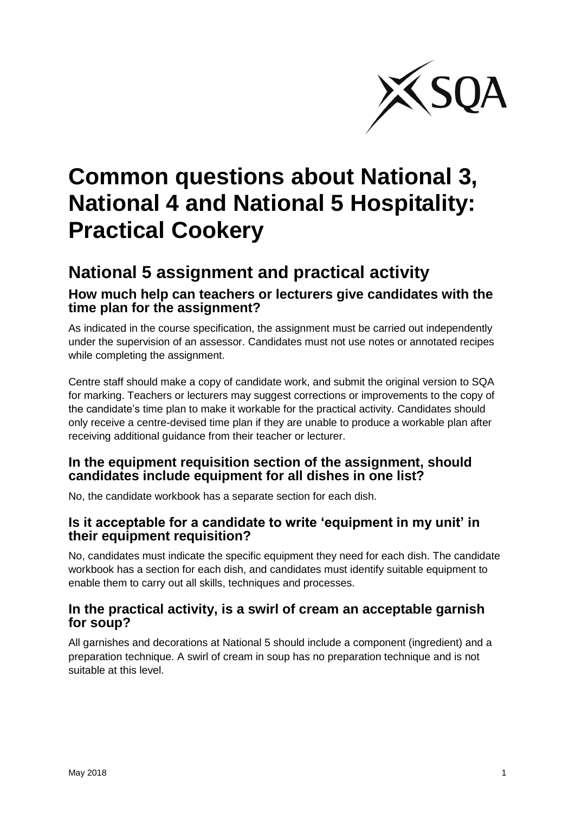

# **Common questions about National 3, National 4 and National 5 Hospitality: Practical Cookery**

# **National 5 assignment and practical activity**

### **How much help can teachers or lecturers give candidates with the time plan for the assignment?**

As indicated in the course specification, the assignment must be carried out independently under the supervision of an assessor. Candidates must not use notes or annotated recipes while completing the assignment.

Centre staff should make a copy of candidate work, and submit the original version to SQA for marking. Teachers or lecturers may suggest corrections or improvements to the copy of the candidate's time plan to make it workable for the practical activity. Candidates should only receive a centre-devised time plan if they are unable to produce a workable plan after receiving additional guidance from their teacher or lecturer.

#### **In the equipment requisition section of the assignment, should candidates include equipment for all dishes in one list?**

No, the candidate workbook has a separate section for each dish.

#### **Is it acceptable for a candidate to write 'equipment in my unit' in their equipment requisition?**

No, candidates must indicate the specific equipment they need for each dish. The candidate workbook has a section for each dish, and candidates must identify suitable equipment to enable them to carry out all skills, techniques and processes.

#### **In the practical activity, is a swirl of cream an acceptable garnish for soup?**

All garnishes and decorations at National 5 should include a component (ingredient) and a preparation technique. A swirl of cream in soup has no preparation technique and is not suitable at this level.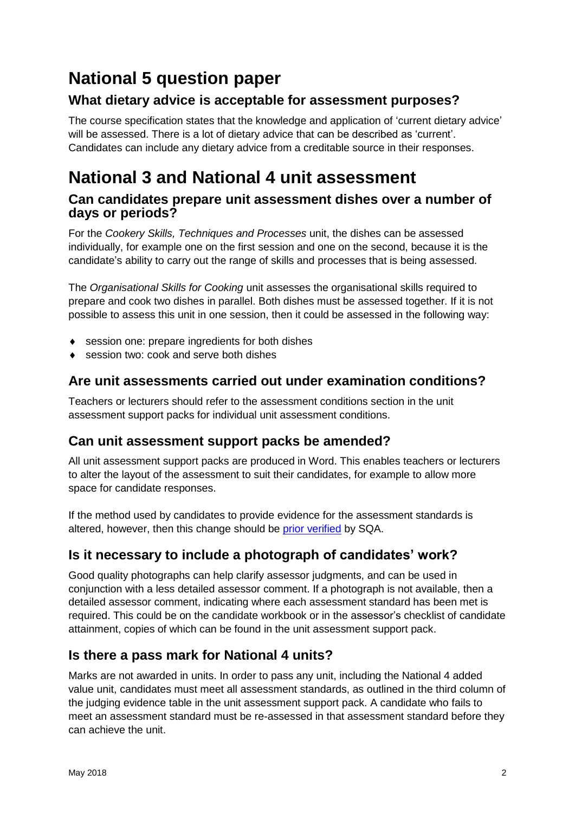# **National 5 question paper**

### **What dietary advice is acceptable for assessment purposes?**

The course specification states that the knowledge and application of 'current dietary advice' will be assessed. There is a lot of dietary advice that can be described as 'current'. Candidates can include any dietary advice from a creditable source in their responses.

# **National 3 and National 4 unit assessment**

#### **Can candidates prepare unit assessment dishes over a number of days or periods?**

For the *Cookery Skills, Techniques and Processes* unit, the dishes can be assessed individually, for example one on the first session and one on the second, because it is the candidate's ability to carry out the range of skills and processes that is being assessed.

The *Organisational Skills for Cooking* unit assesses the organisational skills required to prepare and cook two dishes in parallel. Both dishes must be assessed together. If it is not possible to assess this unit in one session, then it could be assessed in the following way:

- ◆ session one: prepare ingredients for both dishes
- ◆ session two: cook and serve both dishes

### **Are unit assessments carried out under examination conditions?**

Teachers or lecturers should refer to the assessment conditions section in the unit assessment support packs for individual unit assessment conditions.

### **Can unit assessment support packs be amended?**

All unit assessment support packs are produced in Word. This enables teachers or lecturers to alter the layout of the assessment to suit their candidates, for example to allow more space for candidate responses.

If the method used by candidates to provide evidence for the assessment standards is altered, however, then this change should be [prior verified](https://www.sqa.org.uk/sqa/74666.6219.html) by SQA.

### **Is it necessary to include a photograph of candidates' work?**

Good quality photographs can help clarify assessor judgments, and can be used in conjunction with a less detailed assessor comment. If a photograph is not available, then a detailed assessor comment, indicating where each assessment standard has been met is required. This could be on the candidate workbook or in the assessor's checklist of candidate attainment, copies of which can be found in the unit assessment support pack.

### **Is there a pass mark for National 4 units?**

Marks are not awarded in units. In order to pass any unit, including the National 4 added value unit, candidates must meet all assessment standards, as outlined in the third column of the judging evidence table in the unit assessment support pack. A candidate who fails to meet an assessment standard must be re-assessed in that assessment standard before they can achieve the unit.